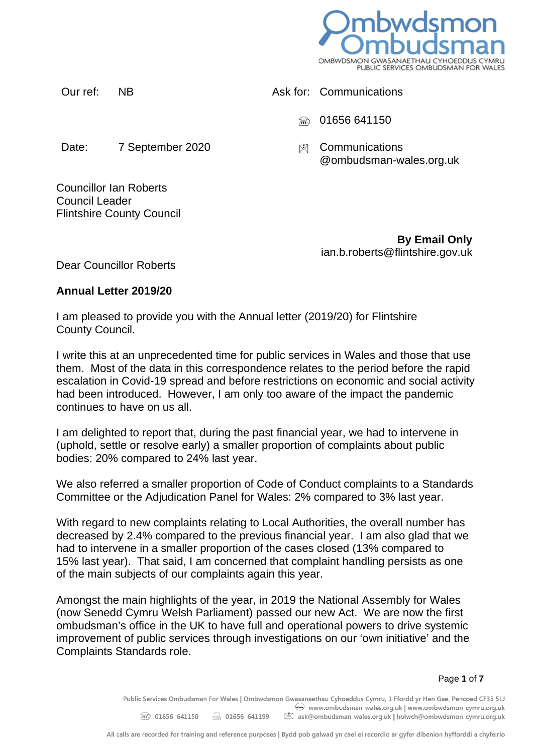

Our ref: NB Ask for: Communications

**and 01656 641150** 

Date: 7 September 2020 <br>
<sub>
N</sub> Communications

Councillor Ian Roberts Council Leader Flintshire County Council

> **By Email Only** ian.b.roberts@flintshire.gov.uk

@ombudsman-wales.org.uk

Dear Councillor Roberts

# **Annual Letter 2019/20**

I am pleased to provide you with the Annual letter (2019/20) for Flintshire County Council.

I write this at an unprecedented time for public services in Wales and those that use them. Most of the data in this correspondence relates to the period before the rapid escalation in Covid-19 spread and before restrictions on economic and social activity had been introduced. However, I am only too aware of the impact the pandemic continues to have on us all.

I am delighted to report that, during the past financial year, we had to intervene in (uphold, settle or resolve early) a smaller proportion of complaints about public bodies: 20% compared to 24% last year.

We also referred a smaller proportion of Code of Conduct complaints to a Standards Committee or the Adjudication Panel for Wales: 2% compared to 3% last year.

With regard to new complaints relating to Local Authorities, the overall number has decreased by 2.4% compared to the previous financial year. I am also glad that we had to intervene in a smaller proportion of the cases closed (13% compared to 15% last year). That said, I am concerned that complaint handling persists as one of the main subjects of our complaints again this year.

Amongst the main highlights of the year, in 2019 the National Assembly for Wales (now Senedd Cymru Welsh Parliament) passed our new Act. We are now the first ombudsman's office in the UK to have full and operational powers to drive systemic improvement of public services through investigations on our 'own initiative' and the Complaints Standards role.

### Page **1** of **7**

Public Services Ombudsman For Wales | Ombwdsmon Gwasanaethau Cyhoeddus Cymru, 1 Ffordd yr Hen Gae, Pencoed CF35 5LJ www.ombudsman-wales.org.uk | www.ombwdsmon-cymru.org.uk ⊠ ask@ombudsman-wales.org.uk | holwch@ombwdsmon-cymru.org.uk 200 01656 641150  $\odot$  01656 641199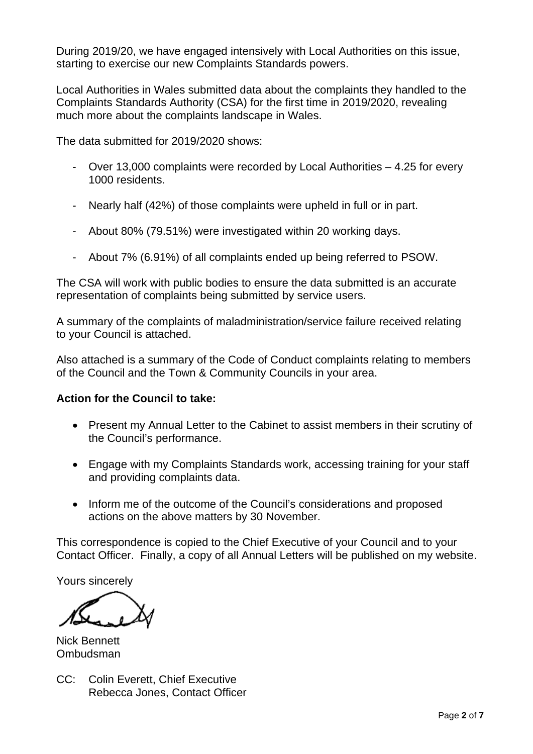During 2019/20, we have engaged intensively with Local Authorities on this issue, starting to exercise our new Complaints Standards powers.

Local Authorities in Wales submitted data about the complaints they handled to the Complaints Standards Authority (CSA) for the first time in 2019/2020, revealing much more about the complaints landscape in Wales.

The data submitted for 2019/2020 shows:

- Over 13,000 complaints were recorded by Local Authorities 4.25 for every 1000 residents.
- Nearly half (42%) of those complaints were upheld in full or in part.
- About 80% (79.51%) were investigated within 20 working days.
- About 7% (6.91%) of all complaints ended up being referred to PSOW.

The CSA will work with public bodies to ensure the data submitted is an accurate representation of complaints being submitted by service users.

A summary of the complaints of maladministration/service failure received relating to your Council is attached.

Also attached is a summary of the Code of Conduct complaints relating to members of the Council and the Town & Community Councils in your area.

## **Action for the Council to take:**

- Present my Annual Letter to the Cabinet to assist members in their scrutiny of the Council's performance.
- Engage with my Complaints Standards work, accessing training for your staff and providing complaints data.
- Inform me of the outcome of the Council's considerations and proposed actions on the above matters by 30 November.

This correspondence is copied to the Chief Executive of your Council and to your Contact Officer. Finally, a copy of all Annual Letters will be published on my website.

Yours sincerely

Nick Bennett Ombudsman

CC: Colin Everett, Chief Executive Rebecca Jones, Contact Officer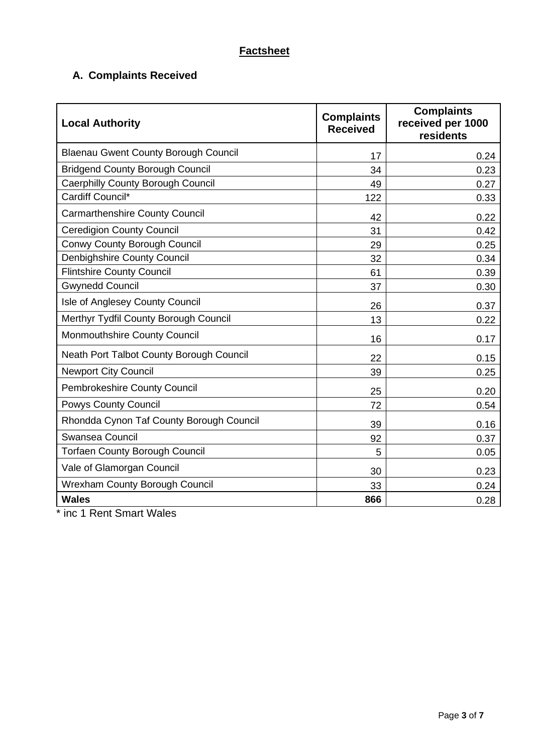# **Factsheet**

# **A. Complaints Received**

| <b>Local Authority</b>                      | <b>Complaints</b><br><b>Received</b> | <b>Complaints</b><br>received per 1000<br>residents |
|---------------------------------------------|--------------------------------------|-----------------------------------------------------|
| <b>Blaenau Gwent County Borough Council</b> | 17                                   | 0.24                                                |
| <b>Bridgend County Borough Council</b>      | 34                                   | 0.23                                                |
| <b>Caerphilly County Borough Council</b>    | 49                                   | 0.27                                                |
| Cardiff Council*                            | 122                                  | 0.33                                                |
| <b>Carmarthenshire County Council</b>       | 42                                   | 0.22                                                |
| <b>Ceredigion County Council</b>            | 31                                   | 0.42                                                |
| <b>Conwy County Borough Council</b>         | 29                                   | 0.25                                                |
| Denbighshire County Council                 | 32                                   | 0.34                                                |
| <b>Flintshire County Council</b>            | 61                                   | 0.39                                                |
| <b>Gwynedd Council</b>                      | 37                                   | 0.30                                                |
| Isle of Anglesey County Council             | 26                                   | 0.37                                                |
| Merthyr Tydfil County Borough Council       | 13                                   | 0.22                                                |
| Monmouthshire County Council                | 16                                   | 0.17                                                |
| Neath Port Talbot County Borough Council    | 22                                   | 0.15                                                |
| <b>Newport City Council</b>                 | 39                                   | 0.25                                                |
| Pembrokeshire County Council                | 25                                   | 0.20                                                |
| <b>Powys County Council</b>                 | 72                                   | 0.54                                                |
| Rhondda Cynon Taf County Borough Council    | 39                                   | 0.16                                                |
| Swansea Council                             | 92                                   | 0.37                                                |
| <b>Torfaen County Borough Council</b>       | 5                                    | 0.05                                                |
| Vale of Glamorgan Council                   | 30                                   | 0.23                                                |
| <b>Wrexham County Borough Council</b>       | 33                                   | 0.24                                                |
| <b>Wales</b>                                | 866                                  | 0.28                                                |

\* inc 1 Rent Smart Wales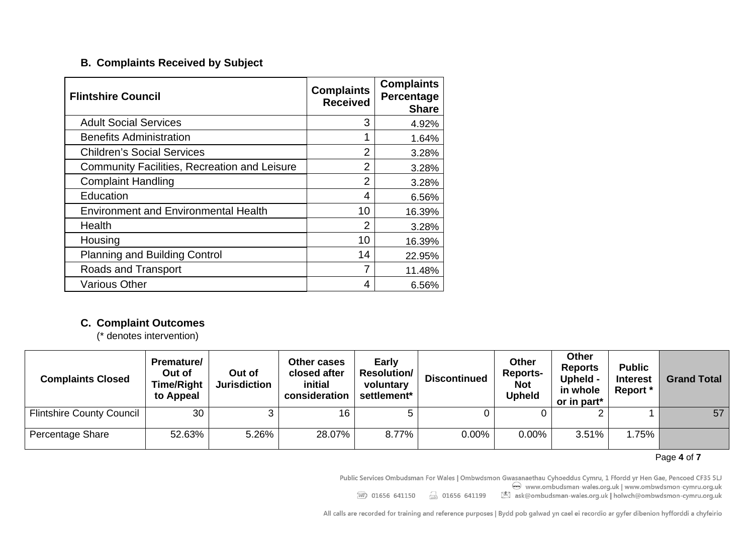### **B. Complaints Received by Subject**

| <b>Flintshire Council</b>                           | <b>Complaints</b><br><b>Received</b> | <b>Complaints</b><br>Percentage<br><b>Share</b> |
|-----------------------------------------------------|--------------------------------------|-------------------------------------------------|
| <b>Adult Social Services</b>                        | 3                                    | 4.92%                                           |
| <b>Benefits Administration</b>                      | 1                                    | 1.64%                                           |
| <b>Children's Social Services</b>                   | $\overline{2}$                       | 3.28%                                           |
| <b>Community Facilities, Recreation and Leisure</b> | $\overline{2}$                       | 3.28%                                           |
| <b>Complaint Handling</b>                           | $\overline{2}$                       | 3.28%                                           |
| Education                                           | 4                                    | 6.56%                                           |
| <b>Environment and Environmental Health</b>         | 10                                   | 16.39%                                          |
| <b>Health</b>                                       | $\overline{2}$                       | 3.28%                                           |
| Housing                                             | 10                                   | 16.39%                                          |
| <b>Planning and Building Control</b>                | 14                                   | 22.95%                                          |
| Roads and Transport                                 | 7                                    | 11.48%                                          |
| <b>Various Other</b>                                | 4                                    | 6.56%                                           |

# **C. Complaint Outcomes**

(\* denotes intervention)

| <b>Complaints Closed</b>         | <b>Premature/</b><br>Out of<br><b>Time/Right</b><br>to Appeal | Out of<br><b>Jurisdiction</b> | <b>Other cases</b><br>closed after<br>initial<br>consideration | <b>Early</b><br><b>Resolution/</b><br>voluntary<br>settlement* | <b>Discontinued</b> | <b>Other</b><br><b>Reports-</b><br><b>Not</b><br><b>Upheld</b> | <b>Other</b><br><b>Reports</b><br>Upheld -<br>in whole<br>or in part* | <b>Public</b><br><b>Interest</b><br>Report * | <b>Grand Total</b> |
|----------------------------------|---------------------------------------------------------------|-------------------------------|----------------------------------------------------------------|----------------------------------------------------------------|---------------------|----------------------------------------------------------------|-----------------------------------------------------------------------|----------------------------------------------|--------------------|
| <b>Flintshire County Council</b> | 30                                                            | ົ                             | 16                                                             |                                                                |                     |                                                                |                                                                       |                                              | 57                 |
| Percentage Share                 | 52.63%                                                        | 5.26%                         | 28.07%                                                         | 8.77%                                                          | $0.00\%$            | 0.00%                                                          | 3.51%                                                                 | 1.75%                                        |                    |

#### Page **4** of **7**

Public Services Ombudsman For Wales | Ombwdsmon Gwasanaethau Cyhoeddus Cymru, 1 Ffordd yr Hen Gae, Pencoed CF35 5LJ

www.ombudsman-wales.org.uk | www.ombwdsmon-cymru.org.uk 200 01656 641150  $\Box$  01656 641199 8 ask@ombudsman-wales.org.uk | holwch@ombwdsmon-cymru.org.uk

All calls are recorded for training and reference purposes | Bydd pob galwad yn cael ei recordio ar gyfer dibenion hyfforddi a chyfeirio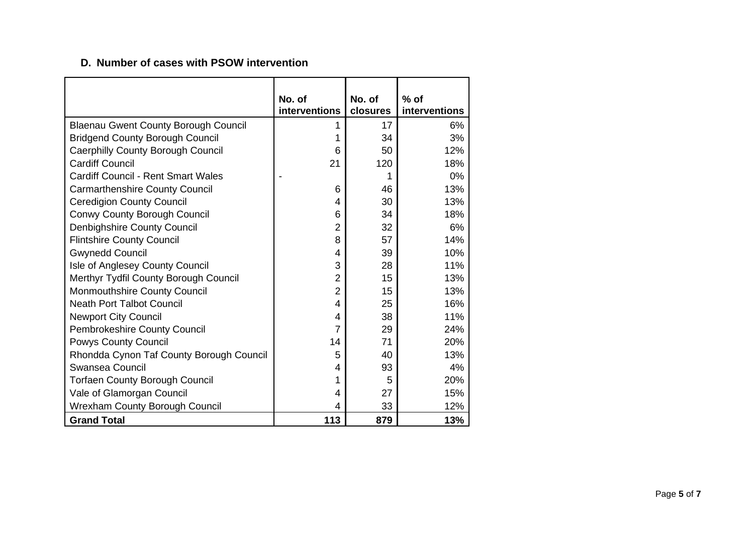# **D. Number of cases with PSOW intervention**

|                                             | No. of         | No. of   | $%$ of        |
|---------------------------------------------|----------------|----------|---------------|
|                                             | interventions  | closures | interventions |
| <b>Blaenau Gwent County Borough Council</b> |                | 17       | 6%            |
| <b>Bridgend County Borough Council</b>      |                | 34       | 3%            |
| <b>Caerphilly County Borough Council</b>    | 6              | 50       | 12%           |
| <b>Cardiff Council</b>                      | 21             | 120      | 18%           |
| <b>Cardiff Council - Rent Smart Wales</b>   |                |          | $0\%$         |
| <b>Carmarthenshire County Council</b>       | 6              | 46       | 13%           |
| <b>Ceredigion County Council</b>            | 4              | 30       | 13%           |
| Conwy County Borough Council                | 6              | 34       | 18%           |
| Denbighshire County Council                 | 2              | 32       | 6%            |
| <b>Flintshire County Council</b>            | 8              | 57       | 14%           |
| <b>Gwynedd Council</b>                      | 4              | 39       | 10%           |
| Isle of Anglesey County Council             | 3              | 28       | 11%           |
| Merthyr Tydfil County Borough Council       | $\overline{2}$ | 15       | 13%           |
| <b>Monmouthshire County Council</b>         | $\overline{2}$ | 15       | 13%           |
| <b>Neath Port Talbot Council</b>            | 4              | 25       | 16%           |
| <b>Newport City Council</b>                 | 4              | 38       | 11%           |
| Pembrokeshire County Council                | 7              | 29       | 24%           |
| <b>Powys County Council</b>                 | 14             | 71       | 20%           |
| Rhondda Cynon Taf County Borough Council    | 5              | 40       | 13%           |
| Swansea Council                             | 4              | 93       | 4%            |
| <b>Torfaen County Borough Council</b>       |                | 5        | 20%           |
| Vale of Glamorgan Council                   | 4              | 27       | 15%           |
| <b>Wrexham County Borough Council</b>       | 4              | 33       | 12%           |
| <b>Grand Total</b>                          | 113            | 879      | 13%           |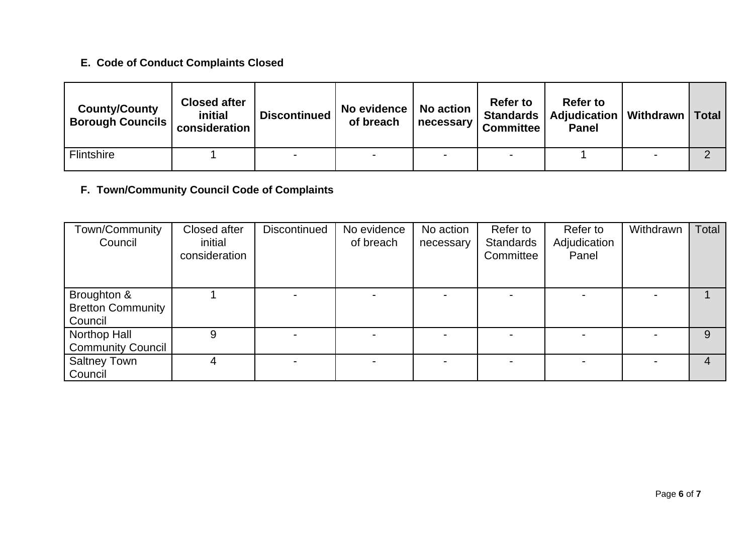# **E. Code of Conduct Complaints Closed**

| <b>County/County</b><br><b>Borough Councils</b> | <b>Closed after</b><br>initial<br>consideration | <b>Discontinued</b> | No evidence<br>of breach | <b>No action</b><br>necessary | <b>Refer to</b><br><b>Standards</b><br><b>Committee</b> | Refer to<br>Adjudication  <br><b>Panel</b> | Withdrawn   Total |  |
|-------------------------------------------------|-------------------------------------------------|---------------------|--------------------------|-------------------------------|---------------------------------------------------------|--------------------------------------------|-------------------|--|
| <b>Flintshire</b>                               |                                                 |                     |                          |                               |                                                         |                                            |                   |  |

# **F. Town/Community Council Code of Complaints**

| Town/Community<br>Council                          | Closed after<br>initial<br>consideration | <b>Discontinued</b> | No evidence<br>of breach | No action<br>necessary | Refer to<br>Standards<br>Committee | Refer to<br>Adjudication<br>Panel | Withdrawn | Total |
|----------------------------------------------------|------------------------------------------|---------------------|--------------------------|------------------------|------------------------------------|-----------------------------------|-----------|-------|
| Broughton &<br><b>Bretton Community</b><br>Council |                                          |                     |                          |                        | $\sim$                             |                                   |           |       |
| Northop Hall<br><b>Community Council</b>           | 9                                        |                     |                          |                        |                                    |                                   |           | 9     |
| <b>Saltney Town</b><br>Council                     | 4                                        |                     |                          |                        | $\overline{\phantom{0}}$           |                                   |           | 4     |